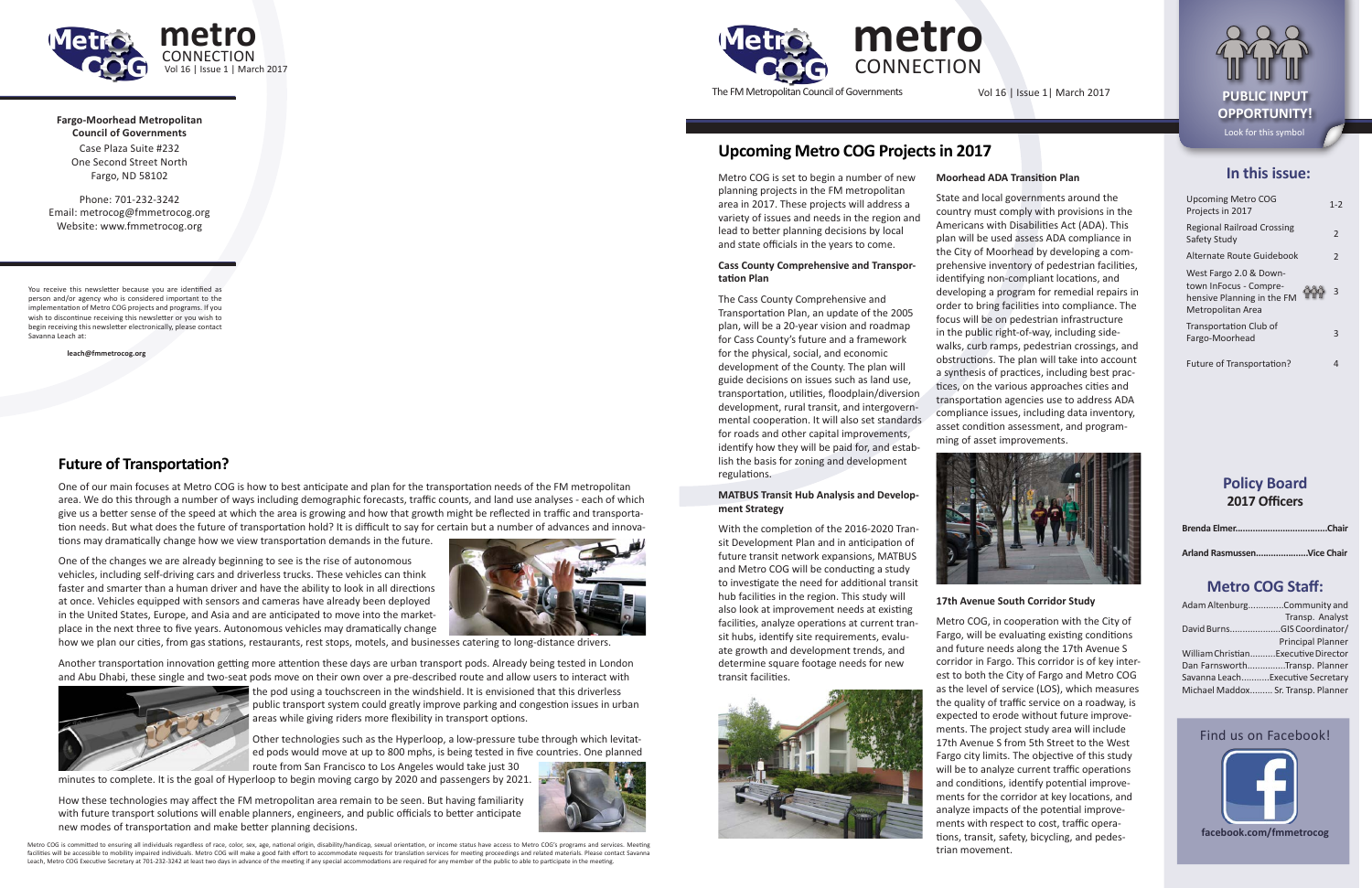#### **In this issue:**

| <b>Upcoming Metro COG</b><br>Projects in 2017                                                       | $1 - 2$        |
|-----------------------------------------------------------------------------------------------------|----------------|
| <b>Regional Railroad Crossing</b><br>Safety Study                                                   | $\mathfrak{D}$ |
| Alternate Route Guidebook                                                                           | $\overline{2}$ |
| West Fargo 2.0 & Down-<br>town InFocus - Compre-<br>hensive Planning in the FM<br>Metropolitan Area | 3              |
| Transportation Club of<br>Fargo-Moorhead                                                            |                |
| Future of Transportation?                                                                           |                |

#### **Policy Board 2017 Officers**

|--|--|

**Arland Rasmussen.....................Vice Chair**

#### **Metro COG Staff:**

| Adam AltenburgCommunity and         |                          |
|-------------------------------------|--------------------------|
|                                     | Transp. Analyst          |
| David BurnsGIS Coordinator/         |                          |
|                                     | <b>Principal Planner</b> |
| William ChristianExecutive Director |                          |
| Dan FarnsworthTransp. Planner       |                          |
| Savanna LeachExecutive Secretary    |                          |
| Michael Maddox Sr. Transp. Planner  |                          |
|                                     |                          |

Metro COG is committed to ensuring all individuals regardless of race, color, sex, age, national origin, disability/handicap, sexual orientation, or income status have access to Metro COG's programs and services. Meeting facilities will be accessible to mobility impaired individuals. Metro COG will make a good faith effort to accommodate requests for translation services for meeting proceedings and related materials. Please contact Savanna





The FM Metropolitan Council of Governments Vol 16 | Issue 1 | March 2017 **PUBLIC INPUT** 

**Fargo-Moorhead Metropolitan Council of Governments** Case Plaza Suite #232 One Second Street North Fargo, ND 58102

**metro CONNECTION** Vol 16 | Issue 1 | March 2017

Phone: 701-232-3242 Email: metrocog@fmmetrocog.org Website: www.fmmetrocog.org

You receive this newsletter because you are identified as person and/or agency who is considered important to the implementation of Metro COG projects and programs. If you wish to discontinue receiving this newsletter or you wish to begin receiving this newsletter electronically, please contact Savanna Leach at:

**leach@fmmetrocog.org**

# **OPPORTUNITY!** Look for this symbol

Metro COG is set to begin a number of new planning projects in the FM metropolitan area in 2017. These projects will address a variety of issues and needs in the region and lead to better planning decisions by local and state officials in the years to come.

#### **Cass County Comprehensive and Transportation Plan**

The Cass County Comprehensive and Transportation Plan, an update of the 2005 plan, will be a 20-year vision and roadmap for Cass County's future and a framework for the physical, social, and economic development of the County. The plan will guide decisions on issues such as land use, transportation, utilities, floodplain/diversion development, rural transit, and intergovernmental cooperation. It will also set standards for roads and other capital improvements, identify how they will be paid for, and establish the basis for zoning and development regulations.

#### **MATBUS Transit Hub Analysis and Development Strategy**

With the completion of the 2016-2020 Transit Development Plan and in anticipation of future transit network expansions, MATBUS and Metro COG will be conducting a study to investigate the need for additional transit hub facilities in the region. This study will also look at improvement needs at existing facilities, analyze operations at current transit hubs, identify site requirements, evaluate growth and development trends, and determine square footage needs for new transit facilities.



#### **Moorhead ADA Transition Plan**

State and local governments around the country must comply with provisions in the Americans with Disabilities Act (ADA). This plan will be used assess ADA compliance in the City of Moorhead by developing a comprehensive inventory of pedestrian facilities, identifying non-compliant locations, and developing a program for remedial repairs in order to bring facilities into compliance. The focus will be on pedestrian infrastructure in the public right-of-way, including sidewalks, curb ramps, pedestrian crossings, and obstructions. The plan will take into account a synthesis of practices, including best practices, on the various approaches cities and transportation agencies use to address ADA compliance issues, including data inventory, asset condition assessment, and programming of asset improvements.



#### **17th Avenue South Corridor Study**

Metro COG, in cooperation with the City of Fargo, will be evaluating existing conditions and future needs along the 17th Avenue S corridor in Fargo. This corridor is of key interest to both the City of Fargo and Metro COG as the level of service (LOS), which measures the quality of traffic service on a roadway, is expected to erode without future improvements. The project study area will include 17th Avenue S from 5th Street to the West Fargo city limits. The objective of this study will be to analyze current traffic operations and conditions, identify potential improvements for the corridor at key locations, and analyze impacts of the potential improvements with respect to cost, traffic operations, transit, safety, bicycling, and pedestrian movement.

#### **Upcoming Metro COG Projects in 2017**

#### **Future of Transportation?**

One of our main focuses at Metro COG is how to best anticipate and plan for the transportation needs of the FM metropolitan area. We do this through a number of ways including demographic forecasts, traffic counts, and land use analyses - each of which give us a better sense of the speed at which the area is growing and how that growth might be reflected in traffic and transportation needs. But what does the future of transportation hold? It is difficult to say for certain but a number of advances and innova-

tions may dramatically change how we view transportation demands in the future.

One of the changes we are already beginning to see is the rise of autonomous vehicles, including self-driving cars and driverless trucks. These vehicles can think faster and smarter than a human driver and have the ability to look in all directions at once. Vehicles equipped with sensors and cameras have already been deployed in the United States, Europe, and Asia and are anticipated to move into the marketplace in the next three to five years. Autonomous vehicles may dramatically change



how we plan our cities, from gas stations, restaurants, rest stops, motels, and businesses catering to long-distance drivers.

Another transportation innovation getting more attention these days are urban transport pods. Already being tested in London and Abu Dhabi, these single and two-seat pods move on their own over a pre-described route and allow users to interact with



the pod using a touchscreen in the windshield. It is envisioned that this driverless public transport system could greatly improve parking and congestion issues in urban areas while giving riders more flexibility in transport options.

Other technologies such as the Hyperloop, a low-pressure tube through which levitated pods would move at up to 800 mphs, is being tested in five countries. One planned

minutes to complete. It is the goal of Hyperloop to begin moving cargo by 2020 and passengers by 2021.

How these technologies may affect the FM metropolitan area remain to be seen. But having familiarity with future transport solutions will enable planners, engineers, and public officials to better anticipate new modes of transportation and make better planning decisions.

route from San Francisco to Los Angeles would take just 30